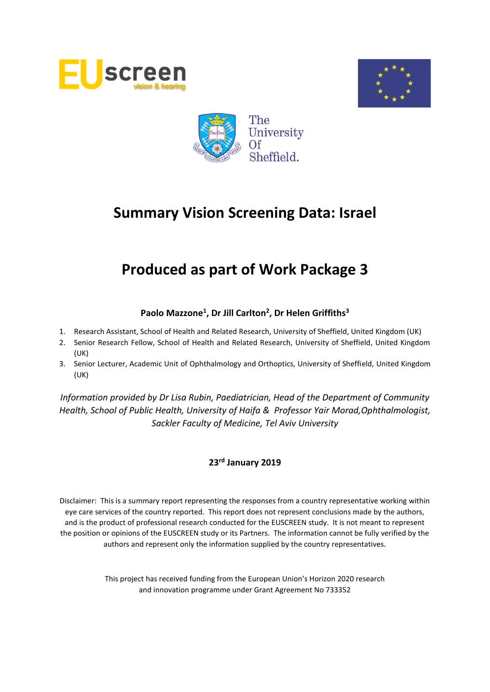





# **Produced as part of Work Package 3**

# **Paolo Mazzone<sup>1</sup> , Dr Jill Carlton<sup>2</sup> , Dr Helen Griffiths<sup>3</sup>**

- 1. Research Assistant, School of Health and Related Research, University of Sheffield, United Kingdom (UK)
- 2. Senior Research Fellow, School of Health and Related Research, University of Sheffield, United Kingdom (UK)
- 3. Senior Lecturer, Academic Unit of Ophthalmology and Orthoptics, University of Sheffield, United Kingdom (UK)

*Information provided by Dr Lisa Rubin, Paediatrician, Head of the Department of Community Health, School of Public Health, University of Haifa & Professor Yair Morad,Ophthalmologist, Sackler Faculty of Medicine, Tel Aviv University*

# **23 rd January 2019**

Disclaimer: This is a summary report representing the responses from a country representative working within eye care services of the country reported. This report does not represent conclusions made by the authors, and is the product of professional research conducted for the EUSCREEN study. It is not meant to represent the position or opinions of the EUSCREEN study or its Partners. The information cannot be fully verified by the authors and represent only the information supplied by the country representatives.

> This project has received funding from the European Union's Horizon 2020 research and innovation programme under Grant Agreement No 733352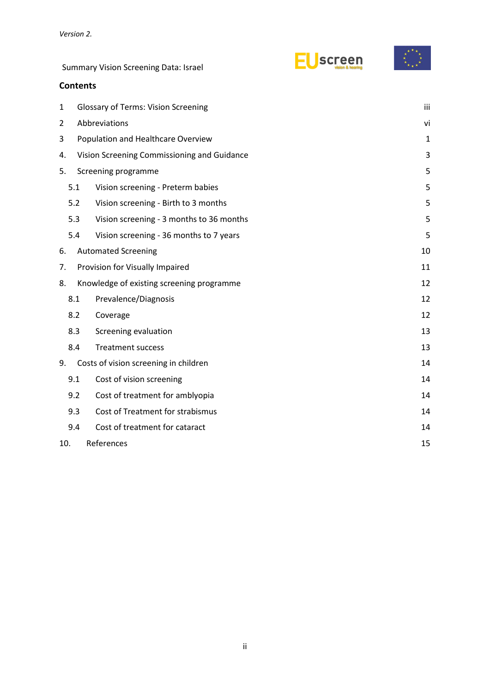**Contents**

| screen |
|--------|
|--------|



| $\mathbf 1$ |                                    | <b>Glossary of Terms: Vision Screening</b>  | iii |  |  |  |
|-------------|------------------------------------|---------------------------------------------|-----|--|--|--|
| 2           |                                    | Abbreviations                               | vi  |  |  |  |
| 3           | Population and Healthcare Overview | $\mathbf{1}$                                |     |  |  |  |
| 4.          |                                    | Vision Screening Commissioning and Guidance | 3   |  |  |  |
| 5.          |                                    | Screening programme                         |     |  |  |  |
|             | 5.1                                | Vision screening - Preterm babies           |     |  |  |  |
|             | 5.2                                | Vision screening - Birth to 3 months        | 5   |  |  |  |
|             | 5.3                                | Vision screening - 3 months to 36 months    | 5   |  |  |  |
|             | 5.4                                | Vision screening - 36 months to 7 years     | 5   |  |  |  |
| 6.          |                                    | <b>Automated Screening</b>                  | 10  |  |  |  |
| 7.          |                                    | Provision for Visually Impaired             | 11  |  |  |  |
| 8.          |                                    | Knowledge of existing screening programme   | 12  |  |  |  |
|             | 8.1                                | Prevalence/Diagnosis                        | 12  |  |  |  |
|             | 8.2                                | Coverage                                    | 12  |  |  |  |
|             | 8.3                                | Screening evaluation                        | 13  |  |  |  |
|             | 8.4                                | <b>Treatment success</b>                    | 13  |  |  |  |
| 9.          |                                    | Costs of vision screening in children       | 14  |  |  |  |
|             | 9.1                                | Cost of vision screening                    | 14  |  |  |  |
|             | 9.2                                | Cost of treatment for amblyopia             | 14  |  |  |  |
|             | 9.3                                | Cost of Treatment for strabismus            | 14  |  |  |  |
|             | 9.4                                | Cost of treatment for cataract              | 14  |  |  |  |
|             | 10.                                | References                                  | 15  |  |  |  |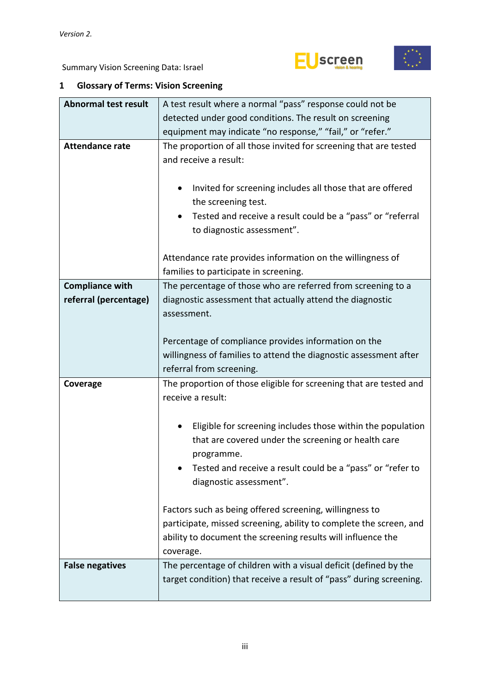



# <span id="page-2-0"></span>**1 Glossary of Terms: Vision Screening**

| <b>Abnormal test result</b> | A test result where a normal "pass" response could not be                                                                               |  |  |  |  |  |  |
|-----------------------------|-----------------------------------------------------------------------------------------------------------------------------------------|--|--|--|--|--|--|
|                             | detected under good conditions. The result on screening                                                                                 |  |  |  |  |  |  |
|                             | equipment may indicate "no response," "fail," or "refer."                                                                               |  |  |  |  |  |  |
| <b>Attendance rate</b>      | The proportion of all those invited for screening that are tested                                                                       |  |  |  |  |  |  |
|                             | and receive a result:                                                                                                                   |  |  |  |  |  |  |
|                             |                                                                                                                                         |  |  |  |  |  |  |
|                             | Invited for screening includes all those that are offered<br>٠                                                                          |  |  |  |  |  |  |
|                             | the screening test.                                                                                                                     |  |  |  |  |  |  |
|                             | Tested and receive a result could be a "pass" or "referral                                                                              |  |  |  |  |  |  |
|                             | to diagnostic assessment".                                                                                                              |  |  |  |  |  |  |
|                             |                                                                                                                                         |  |  |  |  |  |  |
|                             | Attendance rate provides information on the willingness of                                                                              |  |  |  |  |  |  |
|                             | families to participate in screening.                                                                                                   |  |  |  |  |  |  |
| <b>Compliance with</b>      | The percentage of those who are referred from screening to a                                                                            |  |  |  |  |  |  |
| referral (percentage)       | diagnostic assessment that actually attend the diagnostic                                                                               |  |  |  |  |  |  |
|                             | assessment.                                                                                                                             |  |  |  |  |  |  |
|                             |                                                                                                                                         |  |  |  |  |  |  |
|                             | Percentage of compliance provides information on the                                                                                    |  |  |  |  |  |  |
|                             | willingness of families to attend the diagnostic assessment after                                                                       |  |  |  |  |  |  |
|                             | referral from screening.                                                                                                                |  |  |  |  |  |  |
| Coverage                    | The proportion of those eligible for screening that are tested and                                                                      |  |  |  |  |  |  |
|                             | receive a result:                                                                                                                       |  |  |  |  |  |  |
|                             |                                                                                                                                         |  |  |  |  |  |  |
|                             | Eligible for screening includes those within the population                                                                             |  |  |  |  |  |  |
|                             | that are covered under the screening or health care                                                                                     |  |  |  |  |  |  |
|                             | programme.<br>Tested and receive a result could be a "pass" or "refer to                                                                |  |  |  |  |  |  |
|                             | diagnostic assessment".                                                                                                                 |  |  |  |  |  |  |
|                             |                                                                                                                                         |  |  |  |  |  |  |
|                             | Factors such as being offered screening, willingness to                                                                                 |  |  |  |  |  |  |
|                             | participate, missed screening, ability to complete the screen, and                                                                      |  |  |  |  |  |  |
|                             | ability to document the screening results will influence the                                                                            |  |  |  |  |  |  |
|                             | coverage.                                                                                                                               |  |  |  |  |  |  |
| <b>False negatives</b>      |                                                                                                                                         |  |  |  |  |  |  |
|                             |                                                                                                                                         |  |  |  |  |  |  |
|                             | The percentage of children with a visual deficit (defined by the<br>target condition) that receive a result of "pass" during screening. |  |  |  |  |  |  |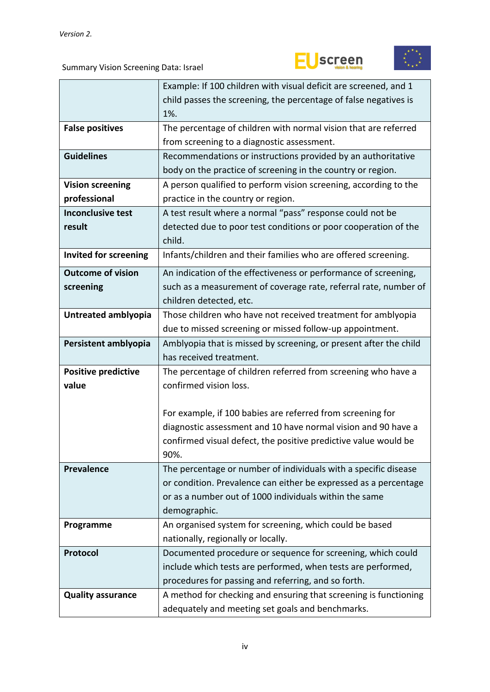



|                              | Example: If 100 children with visual deficit are screened, and 1  |  |  |  |  |
|------------------------------|-------------------------------------------------------------------|--|--|--|--|
|                              | child passes the screening, the percentage of false negatives is  |  |  |  |  |
|                              | 1%.                                                               |  |  |  |  |
| <b>False positives</b>       | The percentage of children with normal vision that are referred   |  |  |  |  |
|                              | from screening to a diagnostic assessment.                        |  |  |  |  |
| <b>Guidelines</b>            | Recommendations or instructions provided by an authoritative      |  |  |  |  |
|                              | body on the practice of screening in the country or region.       |  |  |  |  |
| <b>Vision screening</b>      | A person qualified to perform vision screening, according to the  |  |  |  |  |
| professional                 | practice in the country or region.                                |  |  |  |  |
| <b>Inconclusive test</b>     | A test result where a normal "pass" response could not be         |  |  |  |  |
| result                       | detected due to poor test conditions or poor cooperation of the   |  |  |  |  |
|                              | child.                                                            |  |  |  |  |
| <b>Invited for screening</b> | Infants/children and their families who are offered screening.    |  |  |  |  |
| <b>Outcome of vision</b>     | An indication of the effectiveness or performance of screening,   |  |  |  |  |
| screening                    | such as a measurement of coverage rate, referral rate, number of  |  |  |  |  |
|                              | children detected, etc.                                           |  |  |  |  |
| Untreated amblyopia          | Those children who have not received treatment for amblyopia      |  |  |  |  |
|                              | due to missed screening or missed follow-up appointment.          |  |  |  |  |
| Persistent amblyopia         | Amblyopia that is missed by screening, or present after the child |  |  |  |  |
|                              | has received treatment.                                           |  |  |  |  |
| <b>Positive predictive</b>   | The percentage of children referred from screening who have a     |  |  |  |  |
| value                        | confirmed vision loss.                                            |  |  |  |  |
|                              |                                                                   |  |  |  |  |
|                              | For example, if 100 babies are referred from screening for        |  |  |  |  |
|                              | diagnostic assessment and 10 have normal vision and 90 have a     |  |  |  |  |
|                              | confirmed visual defect, the positive predictive value would be   |  |  |  |  |
|                              | 90%.                                                              |  |  |  |  |
| <b>Prevalence</b>            | The percentage or number of individuals with a specific disease   |  |  |  |  |
|                              | or condition. Prevalence can either be expressed as a percentage  |  |  |  |  |
|                              | or as a number out of 1000 individuals within the same            |  |  |  |  |
|                              | demographic.                                                      |  |  |  |  |
| Programme                    | An organised system for screening, which could be based           |  |  |  |  |
|                              | nationally, regionally or locally.                                |  |  |  |  |
| Protocol                     | Documented procedure or sequence for screening, which could       |  |  |  |  |
|                              | include which tests are performed, when tests are performed,      |  |  |  |  |
|                              | procedures for passing and referring, and so forth.               |  |  |  |  |
| <b>Quality assurance</b>     | A method for checking and ensuring that screening is functioning  |  |  |  |  |
|                              | adequately and meeting set goals and benchmarks.                  |  |  |  |  |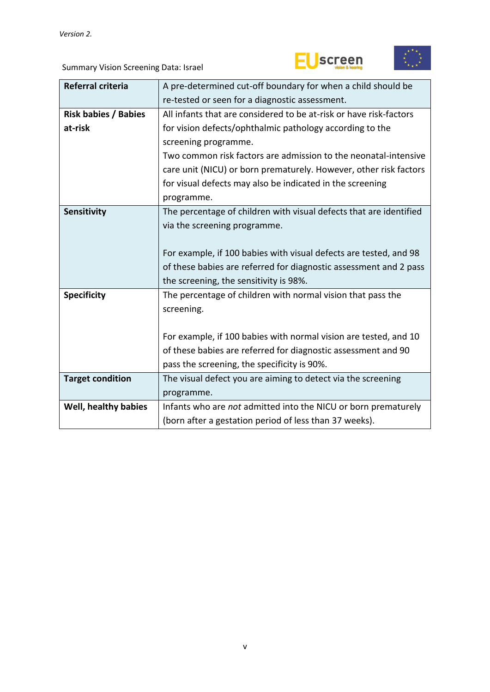



| <b>Referral criteria</b>    | A pre-determined cut-off boundary for when a child should be       |  |  |  |  |  |
|-----------------------------|--------------------------------------------------------------------|--|--|--|--|--|
|                             | re-tested or seen for a diagnostic assessment.                     |  |  |  |  |  |
| <b>Risk babies / Babies</b> | All infants that are considered to be at-risk or have risk-factors |  |  |  |  |  |
| at-risk                     | for vision defects/ophthalmic pathology according to the           |  |  |  |  |  |
|                             | screening programme.                                               |  |  |  |  |  |
|                             | Two common risk factors are admission to the neonatal-intensive    |  |  |  |  |  |
|                             |                                                                    |  |  |  |  |  |
|                             | care unit (NICU) or born prematurely. However, other risk factors  |  |  |  |  |  |
|                             | for visual defects may also be indicated in the screening          |  |  |  |  |  |
|                             | programme.                                                         |  |  |  |  |  |
| <b>Sensitivity</b>          | The percentage of children with visual defects that are identified |  |  |  |  |  |
|                             | via the screening programme.                                       |  |  |  |  |  |
|                             |                                                                    |  |  |  |  |  |
|                             | For example, if 100 babies with visual defects are tested, and 98  |  |  |  |  |  |
|                             | of these babies are referred for diagnostic assessment and 2 pass  |  |  |  |  |  |
|                             | the screening, the sensitivity is 98%.                             |  |  |  |  |  |
| <b>Specificity</b>          | The percentage of children with normal vision that pass the        |  |  |  |  |  |
|                             | screening.                                                         |  |  |  |  |  |
|                             |                                                                    |  |  |  |  |  |
|                             | For example, if 100 babies with normal vision are tested, and 10   |  |  |  |  |  |
|                             | of these babies are referred for diagnostic assessment and 90      |  |  |  |  |  |
|                             |                                                                    |  |  |  |  |  |
|                             | pass the screening, the specificity is 90%.                        |  |  |  |  |  |
| <b>Target condition</b>     | The visual defect you are aiming to detect via the screening       |  |  |  |  |  |
|                             | programme.                                                         |  |  |  |  |  |
| Well, healthy babies        | Infants who are not admitted into the NICU or born prematurely     |  |  |  |  |  |
|                             | (born after a gestation period of less than 37 weeks).             |  |  |  |  |  |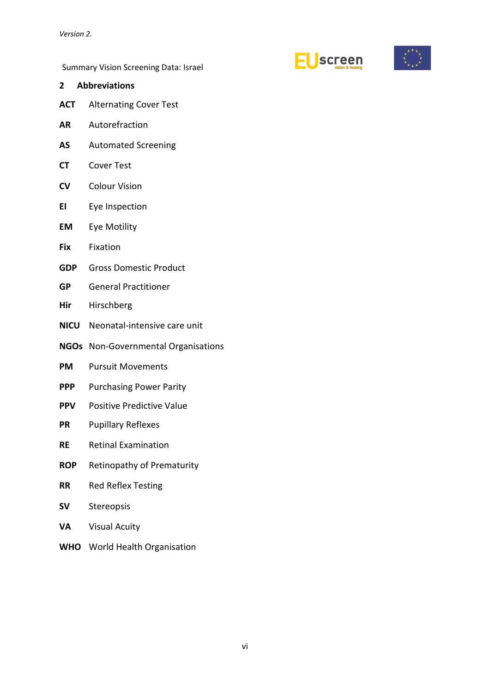



<span id="page-5-0"></span>

| <b>Abbreviations</b><br>2 |  |
|---------------------------|--|
|---------------------------|--|

- **ACT** Alternating Cover Test
- **AR** Autorefraction
- **AS** Automated Screening
- **CT** Cover Test
- **CV** Colour Vision
- **EI** Eye Inspection
- **EM** Eye Motility
- **Fix** Fixation
- **GDP** Gross Domestic Product
- **GP** General Practitioner
- **Hir** Hirschberg
- **NICU** Neonatal-intensive care unit
- **NGOs** Non-Governmental Organisations
- **PM** Pursuit Movements
- **PPP** Purchasing Power Parity
- **PPV** Positive Predictive Value
- **PR** Pupillary Reflexes
- **RE** Retinal Examination
- **ROP** Retinopathy of Prematurity
- **RR** Red Reflex Testing
- **SV** Stereopsis
- **VA** Visual Acuity
- **WHO** World Health Organisation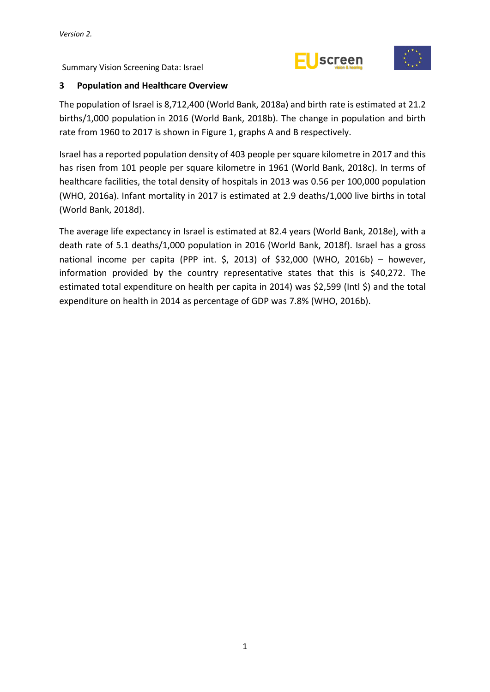



#### <span id="page-6-0"></span>**3 Population and Healthcare Overview**

The population of Israel is 8,712,400 (World Bank, 2018a) and birth rate is estimated at 21.2 births/1,000 population in 2016 (World Bank, 2018b). The change in population and birth rate from 1960 to 2017 is shown in Figure 1, graphs A and B respectively.

Israel has a reported population density of 403 people per square kilometre in 2017 and this has risen from 101 people per square kilometre in 1961 (World Bank, 2018c). In terms of healthcare facilities, the total density of hospitals in 2013 was 0.56 per 100,000 population (WHO, 2016a). Infant mortality in 2017 is estimated at 2.9 deaths/1,000 live births in total (World Bank, 2018d).

The average life expectancy in Israel is estimated at 82.4 years (World Bank, 2018e), with a death rate of 5.1 deaths/1,000 population in 2016 (World Bank, 2018f). Israel has a gross national income per capita (PPP int.  $\zeta$ , 2013) of  $\zeta$ 32,000 (WHO, 2016b) – however, information provided by the country representative states that this is \$40,272. The estimated total expenditure on health per capita in 2014) was \$2,599 (Intl \$) and the total expenditure on health in 2014 as percentage of GDP was 7.8% (WHO, 2016b).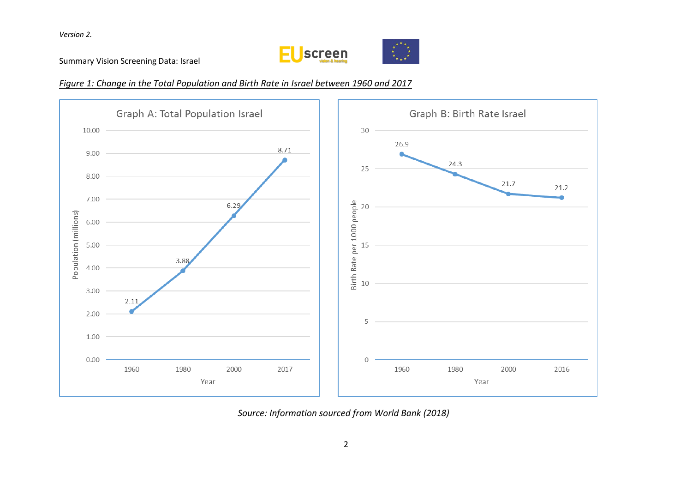

Summary Vision Screening Data: Israel

#### *Figure 1: Change in the Total Population and Birth Rate in Israel between 1960 and 2017*



*Source: Information sourced from World Bank (2018)*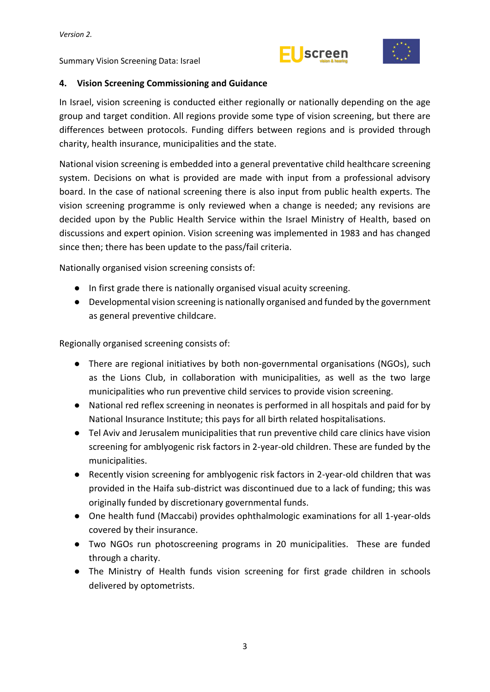# **Screen**



# <span id="page-8-0"></span>**4. Vision Screening Commissioning and Guidance**

In Israel, vision screening is conducted either regionally or nationally depending on the age group and target condition. All regions provide some type of vision screening, but there are differences between protocols. Funding differs between regions and is provided through charity, health insurance, municipalities and the state.

National vision screening is embedded into a general preventative child healthcare screening system. Decisions on what is provided are made with input from a professional advisory board. In the case of national screening there is also input from public health experts. The vision screening programme is only reviewed when a change is needed; any revisions are decided upon by the Public Health Service within the Israel Ministry of Health, based on discussions and expert opinion. Vision screening was implemented in 1983 and has changed since then; there has been update to the pass/fail criteria.

Nationally organised vision screening consists of:

- In first grade there is nationally organised visual acuity screening.
- Developmental vision screening is nationally organised and funded by the government as general preventive childcare.

Regionally organised screening consists of:

- There are regional initiatives by both non-governmental organisations (NGOs), such as the Lions Club, in collaboration with municipalities, as well as the two large municipalities who run preventive child services to provide vision screening.
- National red reflex screening in neonates is performed in all hospitals and paid for by National Insurance Institute; this pays for all birth related hospitalisations.
- Tel Aviv and Jerusalem municipalities that run preventive child care clinics have vision screening for amblyogenic risk factors in 2-year-old children. These are funded by the municipalities.
- Recently vision screening for amblyogenic risk factors in 2-year-old children that was provided in the Haifa sub-district was discontinued due to a lack of funding; this was originally funded by discretionary governmental funds.
- One health fund (Maccabi) provides ophthalmologic examinations for all 1-year-olds covered by their insurance.
- Two NGOs run photoscreening programs in 20 municipalities. These are funded through a charity.
- The Ministry of Health funds vision screening for first grade children in schools delivered by optometrists.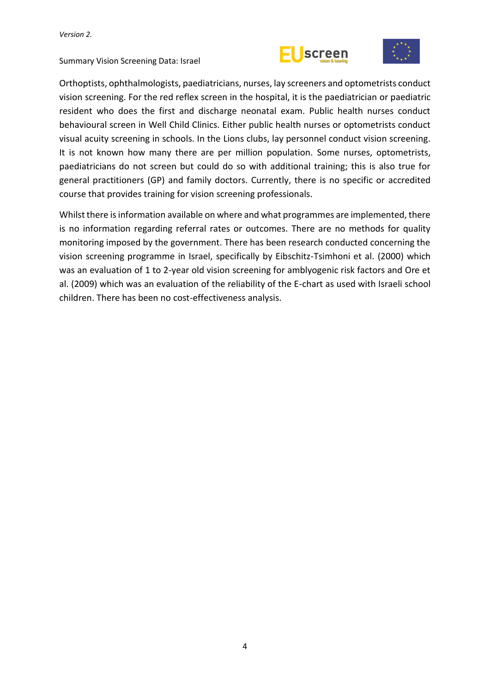



Orthoptists, ophthalmologists, paediatricians, nurses, lay screeners and optometrists conduct vision screening. For the red reflex screen in the hospital, it is the paediatrician or paediatric resident who does the first and discharge neonatal exam. Public health nurses conduct behavioural screen in Well Child Clinics. Either public health nurses or optometrists conduct visual acuity screening in schools. In the Lions clubs, lay personnel conduct vision screening. It is not known how many there are per million population. Some nurses, optometrists, paediatricians do not screen but could do so with additional training; this is also true for general practitioners (GP) and family doctors. Currently, there is no specific or accredited course that provides training for vision screening professionals.

Whilst there is information available on where and what programmes are implemented, there is no information regarding referral rates or outcomes. There are no methods for quality monitoring imposed by the government. There has been research conducted concerning the vision screening programme in Israel, specifically by Eibschitz-Tsimhoni et al. (2000) which was an evaluation of 1 to 2-year old vision screening for amblyogenic risk factors and Ore et al. (2009) which was an evaluation of the reliability of the E-chart as used with Israeli school children. There has been no cost-effectiveness analysis.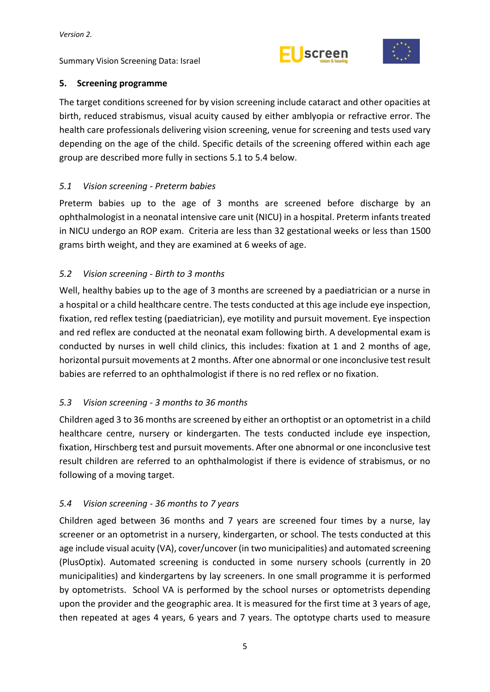



# <span id="page-10-0"></span>**5. Screening programme**

The target conditions screened for by vision screening include cataract and other opacities at birth, reduced strabismus, visual acuity caused by either amblyopia or refractive error. The health care professionals delivering vision screening, venue for screening and tests used vary depending on the age of the child. Specific details of the screening offered within each age group are described more fully in sections 5.1 to 5.4 below.

# <span id="page-10-1"></span>*5.1 Vision screening - Preterm babies*

Preterm babies up to the age of 3 months are screened before discharge by an ophthalmologist in a neonatal intensive care unit (NICU) in a hospital. Preterm infants treated in NICU undergo an ROP exam. Criteria are less than 32 gestational weeks or less than 1500 grams birth weight, and they are examined at 6 weeks of age.

# <span id="page-10-2"></span>*5.2 Vision screening - Birth to 3 months*

Well, healthy babies up to the age of 3 months are screened by a paediatrician or a nurse in a hospital or a child healthcare centre. The tests conducted at this age include eye inspection, fixation, red reflex testing (paediatrician), eye motility and pursuit movement. Eye inspection and red reflex are conducted at the neonatal exam following birth. A developmental exam is conducted by nurses in well child clinics, this includes: fixation at 1 and 2 months of age, horizontal pursuit movements at 2 months. After one abnormal or one inconclusive test result babies are referred to an ophthalmologist if there is no red reflex or no fixation.

# <span id="page-10-3"></span>*5.3 Vision screening - 3 months to 36 months*

Children aged 3 to 36 months are screened by either an orthoptist or an optometrist in a child healthcare centre, nursery or kindergarten. The tests conducted include eye inspection, fixation, Hirschberg test and pursuit movements. After one abnormal or one inconclusive test result children are referred to an ophthalmologist if there is evidence of strabismus, or no following of a moving target.

#### <span id="page-10-4"></span>*5.4 Vision screening - 36 months to 7 years*

Children aged between 36 months and 7 years are screened four times by a nurse, lay screener or an optometrist in a nursery, kindergarten, or school. The tests conducted at this age include visual acuity (VA), cover/uncover (in two municipalities) and automated screening (PlusOptix). Automated screening is conducted in some nursery schools (currently in 20 municipalities) and kindergartens by lay screeners. In one small programme it is performed by optometrists. School VA is performed by the school nurses or optometrists depending upon the provider and the geographic area. It is measured for the first time at 3 years of age, then repeated at ages 4 years, 6 years and 7 years. The optotype charts used to measure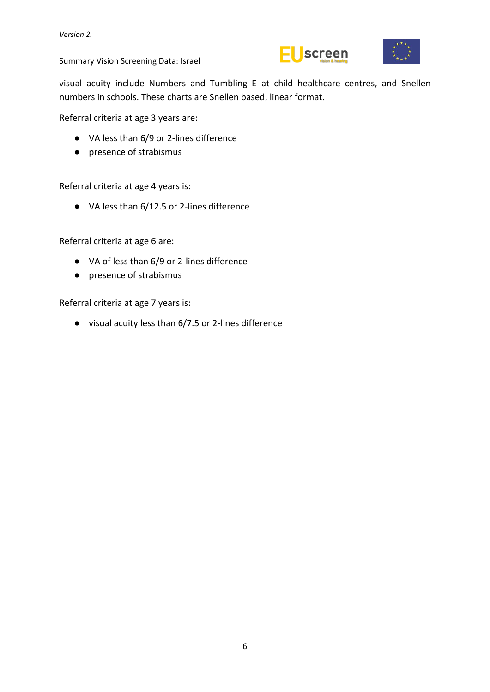



visual acuity include Numbers and Tumbling E at child healthcare centres, and Snellen numbers in schools. These charts are Snellen based, linear format.

Referral criteria at age 3 years are:

- VA less than 6/9 or 2-lines difference
- presence of strabismus

Referral criteria at age 4 years is:

● VA less than 6/12.5 or 2-lines difference

Referral criteria at age 6 are:

- VA of less than 6/9 or 2-lines difference
- presence of strabismus

Referral criteria at age 7 years is:

● visual acuity less than 6/7.5 or 2-lines difference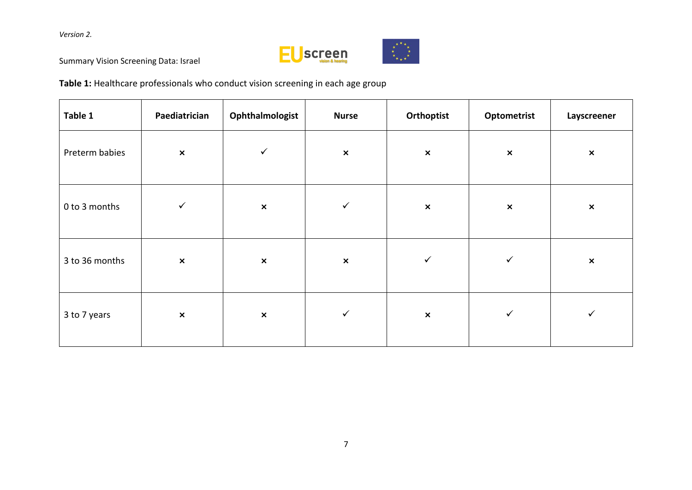

Summary Vision Screening Data: Israel

**Table 1:** Healthcare professionals who conduct vision screening in each age group

| Table 1        | Paediatrician  | Ophthalmologist | <b>Nurse</b>   | Orthoptist     | Optometrist    | Layscreener    |
|----------------|----------------|-----------------|----------------|----------------|----------------|----------------|
| Preterm babies | $\pmb{\times}$ | $\checkmark$    | $\pmb{\times}$ | $\pmb{\times}$ | $\pmb{\times}$ | $\pmb{\times}$ |
| 0 to 3 months  | $\checkmark$   | $\pmb{\times}$  | $\checkmark$   | $\pmb{\times}$ | $\pmb{\times}$ | $\pmb{\times}$ |
| 3 to 36 months | $\pmb{\times}$ | $\pmb{\times}$  | $\pmb{\times}$ | $\checkmark$   | $\checkmark$   | $\pmb{\times}$ |
| 3 to 7 years   | $\pmb{\times}$ | $\pmb{\times}$  | $\checkmark$   | $\pmb{\times}$ | $\checkmark$   | $\checkmark$   |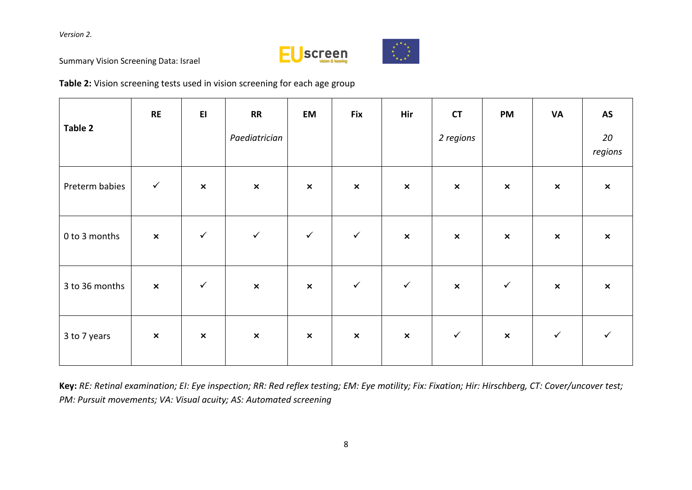



Summary Vision Screening Data: Israel

**Table 2:** Vision screening tests used in vision screening for each age group

| Table 2        | <b>RE</b>      | E1             | <b>RR</b><br>Paediatrician | <b>EM</b>      | <b>Fix</b>     | Hir            | <b>CT</b><br>2 regions    | <b>PM</b>      | <b>VA</b>      | <b>AS</b><br>20<br>regions |
|----------------|----------------|----------------|----------------------------|----------------|----------------|----------------|---------------------------|----------------|----------------|----------------------------|
| Preterm babies | $\checkmark$   | $\pmb{\times}$ | $\pmb{\times}$             | $\pmb{\times}$ | $\pmb{\times}$ | $\pmb{\times}$ | $\boldsymbol{\mathsf{x}}$ | $\pmb{\times}$ | $\pmb{\times}$ | $\pmb{\times}$             |
| 0 to 3 months  | $\pmb{\times}$ | $\checkmark$   | $\checkmark$               | $\checkmark$   | $\checkmark$   | $\pmb{\times}$ | $\boldsymbol{\mathsf{x}}$ | $\pmb{\times}$ | $\pmb{\times}$ | $\boldsymbol{\mathsf{x}}$  |
| 3 to 36 months | $\pmb{\times}$ | $\checkmark$   | $\pmb{\times}$             | $\pmb{\times}$ | $\checkmark$   | $\checkmark$   | $\boldsymbol{\mathsf{x}}$ | $\checkmark$   | $\pmb{\times}$ | $\boldsymbol{\mathsf{x}}$  |
| 3 to 7 years   | $\pmb{\times}$ | $\pmb{\times}$ | $\pmb{\times}$             | $\pmb{\times}$ | $\pmb{\times}$ | $\pmb{\times}$ | $\checkmark$              | $\pmb{\times}$ | $\checkmark$   | ✓                          |

**Key:** *RE: Retinal examination; EI: Eye inspection; RR: Red reflex testing; EM: Eye motility; Fix: Fixation; Hir: Hirschberg, CT: Cover/uncover test; PM: Pursuit movements; VA: Visual acuity; AS: Automated screening*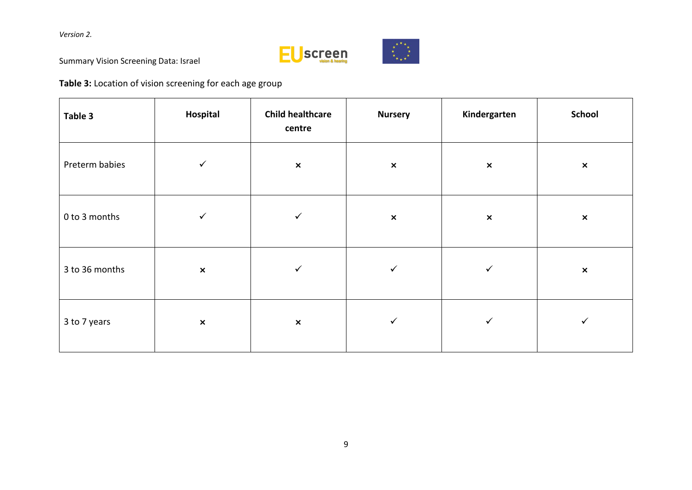

Summary Vision Screening Data: Israel

**Table 3:** Location of vision screening for each age group

| Table 3        | Hospital       | <b>Child healthcare</b><br>centre | <b>Nursery</b> | Kindergarten   | <b>School</b>  |
|----------------|----------------|-----------------------------------|----------------|----------------|----------------|
| Preterm babies | $\checkmark$   | $\pmb{\times}$                    | $\pmb{\times}$ | $\pmb{\times}$ | $\pmb{\times}$ |
| 0 to 3 months  | $\checkmark$   | $\checkmark$                      | $\pmb{\times}$ | $\pmb{\times}$ | $\pmb{\times}$ |
| 3 to 36 months | $\pmb{\times}$ | $\checkmark$                      | $\checkmark$   | $\checkmark$   | $\pmb{\times}$ |
| 3 to 7 years   | $\pmb{\times}$ | $\pmb{\times}$                    | $\checkmark$   | $\checkmark$   | $\checkmark$   |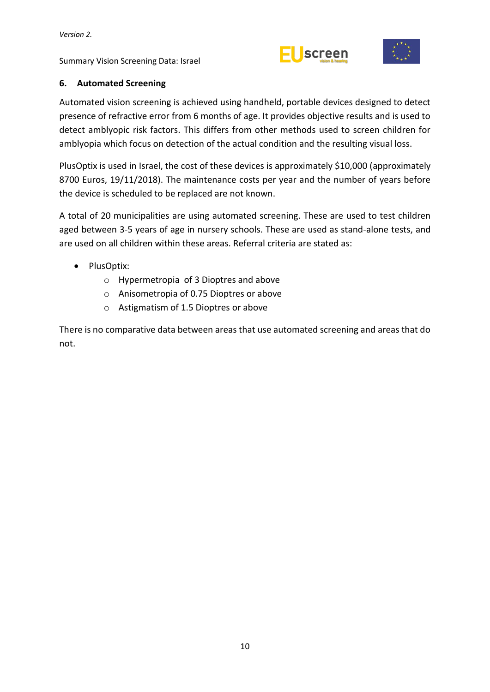



# <span id="page-15-0"></span>**6. Automated Screening**

Automated vision screening is achieved using handheld, portable devices designed to detect presence of refractive error from 6 months of age. It provides objective results and is used to detect amblyopic risk factors. This differs from other methods used to screen children for amblyopia which focus on detection of the actual condition and the resulting visual loss.

PlusOptix is used in Israel, the cost of these devices is approximately \$10,000 (approximately 8700 Euros, 19/11/2018). The maintenance costs per year and the number of years before the device is scheduled to be replaced are not known.

A total of 20 municipalities are using automated screening. These are used to test children aged between 3-5 years of age in nursery schools. These are used as stand-alone tests, and are used on all children within these areas. Referral criteria are stated as:

- PlusOptix:
	- o Hypermetropia of 3 Dioptres and above
	- o Anisometropia of 0.75 Dioptres or above
	- o Astigmatism of 1.5 Dioptres or above

There is no comparative data between areas that use automated screening and areas that do not.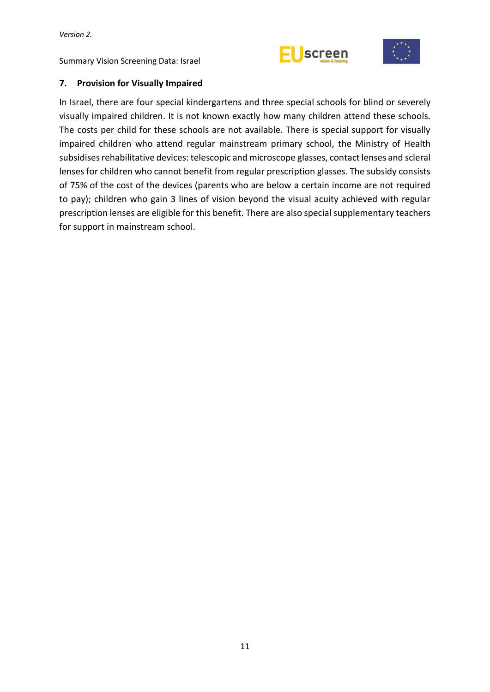



#### <span id="page-16-0"></span>**7. Provision for Visually Impaired**

In Israel, there are four special kindergartens and three special schools for blind or severely visually impaired children. It is not known exactly how many children attend these schools. The costs per child for these schools are not available. There is special support for visually impaired children who attend regular mainstream primary school, the Ministry of Health subsidises rehabilitative devices: telescopic and microscope glasses, contact lenses and scleral lenses for children who cannot benefit from regular prescription glasses. The subsidy consists of 75% of the cost of the devices (parents who are below a certain income are not required to pay); children who gain 3 lines of vision beyond the visual acuity achieved with regular prescription lenses are eligible for this benefit. There are also special supplementary teachers for support in mainstream school.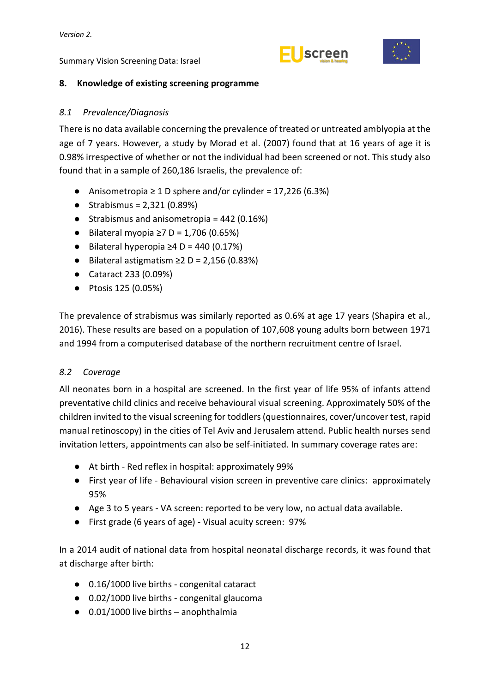



#### <span id="page-17-0"></span>**8. Knowledge of existing screening programme**

#### <span id="page-17-1"></span>*8.1 Prevalence/Diagnosis*

There is no data available concerning the prevalence of treated or untreated amblyopia at the age of 7 years. However, a study by Morad et al. (2007) found that at 16 years of age it is 0.98% irrespective of whether or not the individual had been screened or not. This study also found that in a sample of 260,186 Israelis, the prevalence of:

- $\bullet$  Anisometropia ≥ 1 D sphere and/or cylinder = 17,226 (6.3%)
- $\bullet$  Strabismus = 2,321 (0.89%)
- Strabismus and anisometropia =  $442$  (0.16%)
- $\bullet$  Bilateral myopia ≥7 D = 1,706 (0.65%)
- $\bullet$  Bilateral hyperopia ≥4 D = 440 (0.17%)
- $\bullet$  Bilateral astigmatism ≥2 D = 2,156 (0.83%)
- Cataract 233 (0.09%)
- Ptosis 125 (0.05%)

The prevalence of strabismus was similarly reported as 0.6% at age 17 years (Shapira et al., 2016). These results are based on a population of 107,608 young adults born between 1971 and 1994 from a computerised database of the northern recruitment centre of Israel.

#### <span id="page-17-2"></span>*8.2 Coverage*

All neonates born in a hospital are screened. In the first year of life 95% of infants attend preventative child clinics and receive behavioural visual screening. Approximately 50% of the children invited to the visual screening for toddlers (questionnaires, cover/uncover test, rapid manual retinoscopy) in the cities of Tel Aviv and Jerusalem attend. Public health nurses send invitation letters, appointments can also be self-initiated. In summary coverage rates are:

- At birth Red reflex in hospital: approximately 99%
- First year of life Behavioural vision screen in preventive care clinics: approximately 95%
- Age 3 to 5 years VA screen: reported to be very low, no actual data available.
- First grade (6 years of age) Visual acuity screen: 97%

In a 2014 audit of national data from hospital neonatal discharge records, it was found that at discharge after birth:

- 0.16/1000 live births congenital cataract
- 0.02/1000 live births congenital glaucoma
- $\bullet$  0.01/1000 live births anophthalmia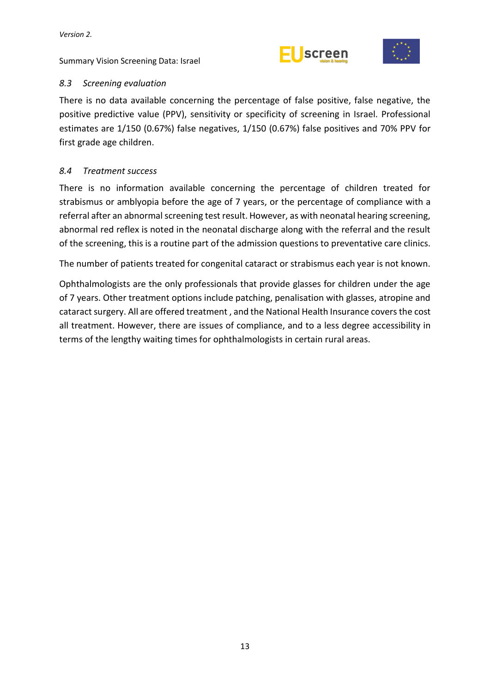



# <span id="page-18-0"></span>*8.3 Screening evaluation*

There is no data available concerning the percentage of false positive, false negative, the positive predictive value (PPV), sensitivity or specificity of screening in Israel. Professional estimates are 1/150 (0.67%) false negatives, 1/150 (0.67%) false positives and 70% PPV for first grade age children.

#### <span id="page-18-1"></span>*8.4 Treatment success*

There is no information available concerning the percentage of children treated for strabismus or amblyopia before the age of 7 years, or the percentage of compliance with a referral after an abnormal screening test result. However, as with neonatal hearing screening, abnormal red reflex is noted in the neonatal discharge along with the referral and the result of the screening, this is a routine part of the admission questions to preventative care clinics.

The number of patients treated for congenital cataract or strabismus each year is not known.

Ophthalmologists are the only professionals that provide glasses for children under the age of 7 years. Other treatment options include patching, penalisation with glasses, atropine and cataract surgery. All are offered treatment , and the National Health Insurance coversthe cost all treatment. However, there are issues of compliance, and to a less degree accessibility in terms of the lengthy waiting times for ophthalmologists in certain rural areas.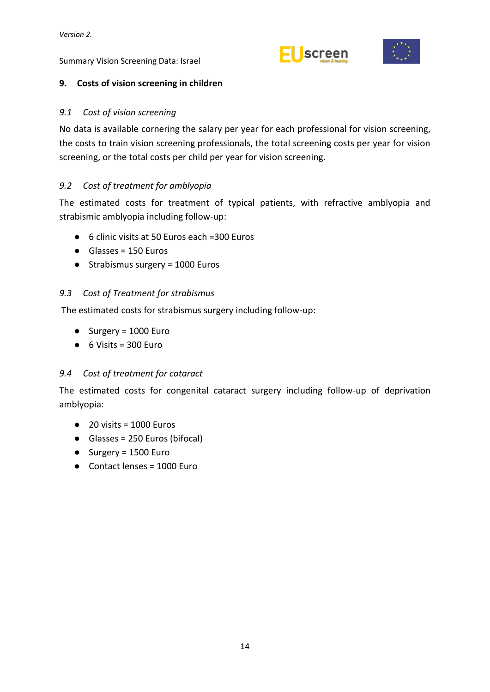





#### <span id="page-19-0"></span>**9. Costs of vision screening in children**

#### <span id="page-19-1"></span>*9.1 Cost of vision screening*

No data is available cornering the salary per year for each professional for vision screening, the costs to train vision screening professionals, the total screening costs per year for vision screening, or the total costs per child per year for vision screening.

#### <span id="page-19-2"></span>*9.2 Cost of treatment for amblyopia*

The estimated costs for treatment of typical patients, with refractive amblyopia and strabismic amblyopia including follow-up:

- 6 clinic visits at 50 Euros each =300 Euros
- Glasses = 150 Euros
- Strabismus surgery = 1000 Euros

#### <span id="page-19-3"></span>*9.3 Cost of Treatment for strabismus*

The estimated costs for strabismus surgery including follow-up:

- Surgery = 1000 Euro
- $\bullet$  6 Visits = 300 Euro

#### <span id="page-19-4"></span>*9.4 Cost of treatment for cataract*

The estimated costs for congenital cataract surgery including follow-up of deprivation amblyopia:

- $\bullet$  20 visits = 1000 Furos
- Glasses = 250 Euros (bifocal)
- $\bullet$  Surgery = 1500 Euro
- Contact lenses = 1000 Euro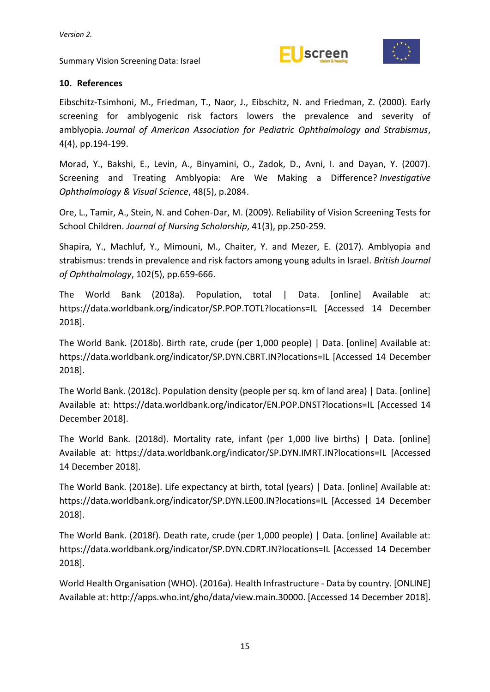



#### <span id="page-20-0"></span>**10. References**

Eibschitz-Tsimhoni, M., Friedman, T., Naor, J., Eibschitz, N. and Friedman, Z. (2000). Early screening for amblyogenic risk factors lowers the prevalence and severity of amblyopia. *Journal of American Association for Pediatric Ophthalmology and Strabismus*, 4(4), pp.194-199.

Morad, Y., Bakshi, E., Levin, A., Binyamini, O., Zadok, D., Avni, I. and Dayan, Y. (2007). Screening and Treating Amblyopia: Are We Making a Difference? *Investigative Ophthalmology & Visual Science*, 48(5), p.2084.

Ore, L., Tamir, A., Stein, N. and Cohen-Dar, M. (2009). Reliability of Vision Screening Tests for School Children. *Journal of Nursing Scholarship*, 41(3), pp.250-259.

Shapira, Y., Machluf, Y., Mimouni, M., Chaiter, Y. and Mezer, E. (2017). Amblyopia and strabismus: trends in prevalence and risk factors among young adults in Israel. *British Journal of Ophthalmology*, 102(5), pp.659-666.

The World Bank (2018a). Population, total | Data. [online] Available at: https://data.worldbank.org/indicator/SP.POP.TOTL?locations=IL [Accessed 14 December 2018].

The World Bank. (2018b). Birth rate, crude (per 1,000 people) | Data. [online] Available at: https://data.worldbank.org/indicator/SP.DYN.CBRT.IN?locations=IL [Accessed 14 December 2018].

The World Bank. (2018c). Population density (people per sq. km of land area) | Data. [online] Available at: https://data.worldbank.org/indicator/EN.POP.DNST?locations=IL [Accessed 14 December 2018].

The World Bank. (2018d). Mortality rate, infant (per 1,000 live births) | Data. [online] Available at: https://data.worldbank.org/indicator/SP.DYN.IMRT.IN?locations=IL [Accessed 14 December 2018].

The World Bank. (2018e). Life expectancy at birth, total (years) | Data. [online] Available at: https://data.worldbank.org/indicator/SP.DYN.LE00.IN?locations=IL [Accessed 14 December 2018].

The World Bank. (2018f). Death rate, crude (per 1,000 people) | Data. [online] Available at: https://data.worldbank.org/indicator/SP.DYN.CDRT.IN?locations=IL [Accessed 14 December 2018].

World Health Organisation (WHO). (2016a). Health Infrastructure - Data by country. [ONLINE] Available at: http://apps.who.int/gho/data/view.main.30000. [Accessed 14 December 2018].